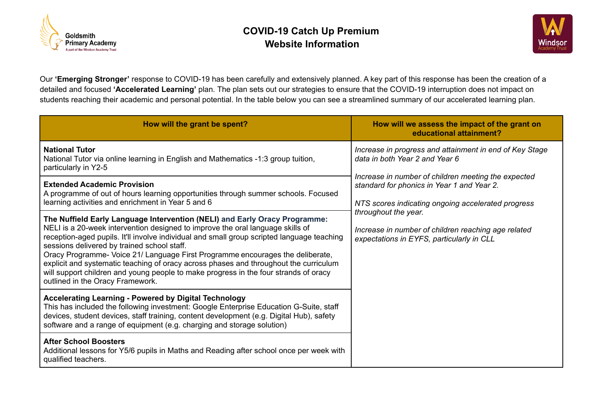



Our **'Emerging Stronger'** response to COVID-19 has been carefully and extensively planned. A key part of this response has been the creation of a detailed and focused **'Accelerated Learning'** plan. The plan sets out our strategies to ensure that the COVID-19 interruption does not impact on students reaching their academic and personal potential. In the table below you can see a streamlined summary of our accelerated learning plan.

| How will the grant be spent?                                                                                                                                                                                                                                                                                                                                                                                                                                                                                                                                                                                     | How will we assess the impact of the grant on<br>educational attainment?                                                                                                                                                                                                                                                                                                         |
|------------------------------------------------------------------------------------------------------------------------------------------------------------------------------------------------------------------------------------------------------------------------------------------------------------------------------------------------------------------------------------------------------------------------------------------------------------------------------------------------------------------------------------------------------------------------------------------------------------------|----------------------------------------------------------------------------------------------------------------------------------------------------------------------------------------------------------------------------------------------------------------------------------------------------------------------------------------------------------------------------------|
| <b>National Tutor</b><br>National Tutor via online learning in English and Mathematics -1:3 group tuition,<br>particularly in Y2-5                                                                                                                                                                                                                                                                                                                                                                                                                                                                               | Increase in progress and attainment in end of Key Stage<br>data in both Year 2 and Year 6<br>Increase in number of children meeting the expected<br>standard for phonics in Year 1 and Year 2.<br>NTS scores indicating ongoing accelerated progress<br>throughout the year.<br>Increase in number of children reaching age related<br>expectations in EYFS, particularly in CLL |
| <b>Extended Academic Provision</b><br>A programme of out of hours learning opportunities through summer schools. Focused<br>learning activities and enrichment in Year 5 and 6                                                                                                                                                                                                                                                                                                                                                                                                                                   |                                                                                                                                                                                                                                                                                                                                                                                  |
| The Nuffield Early Language Intervention (NELI) and Early Oracy Programme:<br>NELI is a 20-week intervention designed to improve the oral language skills of<br>reception-aged pupils. It'll involve individual and small group scripted language teaching<br>sessions delivered by trained school staff.<br>Oracy Programme- Voice 21/ Language First Programme encourages the deliberate,<br>explicit and systematic teaching of oracy across phases and throughout the curriculum<br>will support children and young people to make progress in the four strands of oracy<br>outlined in the Oracy Framework. |                                                                                                                                                                                                                                                                                                                                                                                  |
| <b>Accelerating Learning - Powered by Digital Technology</b><br>This has included the following investment: Google Enterprise Education G-Suite, staff<br>devices, student devices, staff training, content development (e.g. Digital Hub), safety<br>software and a range of equipment (e.g. charging and storage solution)                                                                                                                                                                                                                                                                                     |                                                                                                                                                                                                                                                                                                                                                                                  |
| <b>After School Boosters</b><br>Additional lessons for Y5/6 pupils in Maths and Reading after school once per week with<br>qualified teachers.                                                                                                                                                                                                                                                                                                                                                                                                                                                                   |                                                                                                                                                                                                                                                                                                                                                                                  |